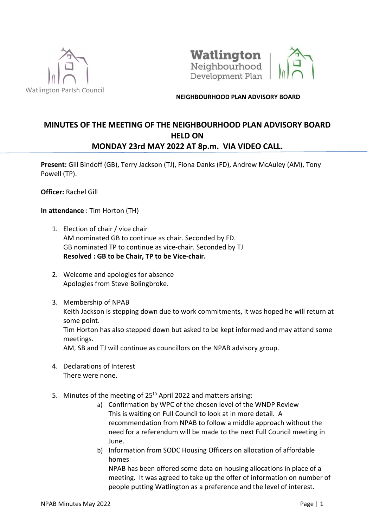



## NEIGHBOURHOOD PLAN ADVISORY BOARD

## MINUTES OF THE MEETING OF THE NEIGHBOURHOOD PLAN ADVISORY BOARD HELD ON MONDAY 23rd MAY 2022 AT 8p.m. VIA VIDEO CALL.

Present: Gill Bindoff (GB), Terry Jackson (TJ), Fiona Danks (FD), Andrew McAuley (AM), Tony Powell (TP).

Officer: Rachel Gill

In attendance : Tim Horton (TH)

- 1. Election of chair / vice chair AM nominated GB to continue as chair. Seconded by FD. GB nominated TP to continue as vice-chair. Seconded by TJ Resolved : GB to be Chair, TP to be Vice-chair.
- 2. Welcome and apologies for absence Apologies from Steve Bolingbroke.
- 3. Membership of NPAB Keith Jackson is stepping down due to work commitments, it was hoped he will return at some point. Tim Horton has also stepped down but asked to be kept informed and may attend some meetings. AM, SB and TJ will continue as councillors on the NPAB advisory group.
- 4. Declarations of Interest There were none.
- 5. Minutes of the meeting of 25<sup>th</sup> April 2022 and matters arising:
	- a) Confirmation by WPC of the chosen level of the WNDP Review This is waiting on Full Council to look at in more detail. A recommendation from NPAB to follow a middle approach without the need for a referendum will be made to the next Full Council meeting in June.
	- b) Information from SODC Housing Officers on allocation of affordable homes

NPAB has been offered some data on housing allocations in place of a meeting. It was agreed to take up the offer of information on number of people putting Watlington as a preference and the level of interest.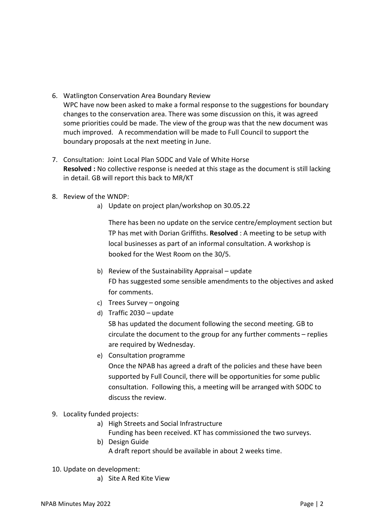- 6. Watlington Conservation Area Boundary Review WPC have now been asked to make a formal response to the suggestions for boundary changes to the conservation area. There was some discussion on this, it was agreed some priorities could be made. The view of the group was that the new document was much improved. A recommendation will be made to Full Council to support the boundary proposals at the next meeting in June.
- 7. Consultation: Joint Local Plan SODC and Vale of White Horse Resolved : No collective response is needed at this stage as the document is still lacking in detail. GB will report this back to MR/KT
- 8. Review of the WNDP:
	- a) Update on project plan/workshop on 30.05.22

There has been no update on the service centre/employment section but TP has met with Dorian Griffiths. Resolved : A meeting to be setup with local businesses as part of an informal consultation. A workshop is booked for the West Room on the 30/5.

- b) Review of the Sustainability Appraisal update FD has suggested some sensible amendments to the objectives and asked for comments.
- c) Trees Survey ongoing
- d) Traffic 2030 update

 SB has updated the document following the second meeting. GB to circulate the document to the group for any further comments – replies are required by Wednesday.

e) Consultation programme

Once the NPAB has agreed a draft of the policies and these have been supported by Full Council, there will be opportunities for some public consultation. Following this, a meeting will be arranged with SODC to discuss the review.

- 9. Locality funded projects:
	- a) High Streets and Social Infrastructure Funding has been received. KT has commissioned the two surveys.
	- b) Design Guide A draft report should be available in about 2 weeks time.
- 10. Update on development:
	- a) Site A Red Kite View